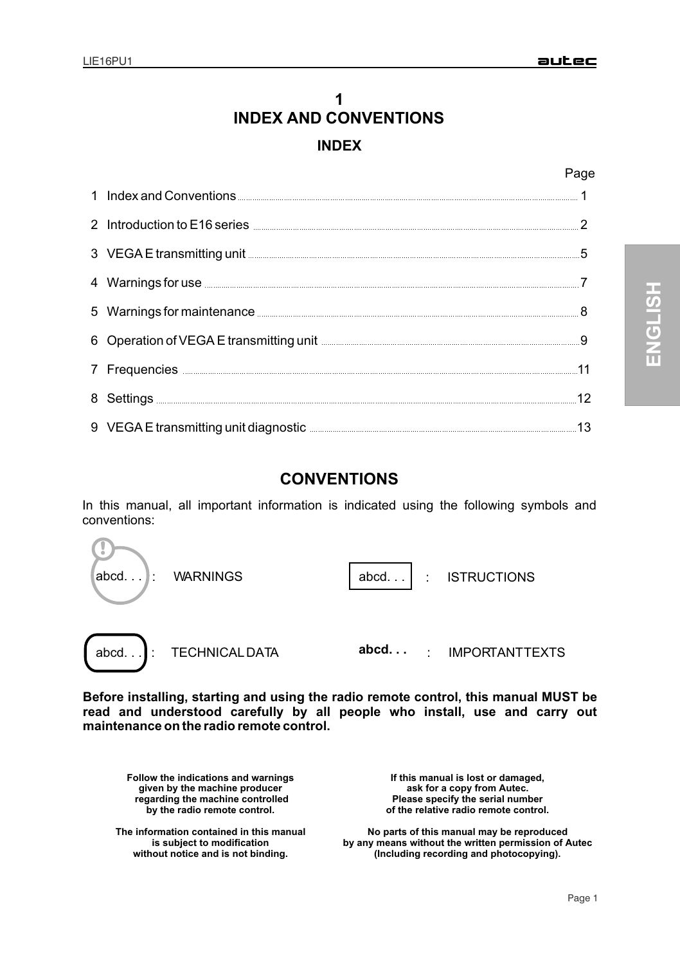# **1 INDEX INDEX AND CONVENTIONS**

## Page

| 1 Index and Conventions <b>Conventions Conventions Conventions Conventions Conventions</b>                                                                                                                                           |    |
|--------------------------------------------------------------------------------------------------------------------------------------------------------------------------------------------------------------------------------------|----|
| 2 Introduction to E16 series <b>CONSCRIPTION</b> 2 Introduction to E16 series <b>CONSCRIPTION</b>                                                                                                                                    |    |
| 3 VEGA E transmitting unit <b>Service Construction</b> and Service Construction of the Service Construction of the Service Construction of the Service Construction of the Service Construction of the Service Construction of the   | 5  |
| 4 Warnings for use <b>Material According to the Contract of According Contract According to the Contract Office According to the Contract Office According to the Contract Office According to the Contract Office According to </b> |    |
| 5 Warnings for maintenance <b>Commission Commission Commission</b> Commission Commission                                                                                                                                             |    |
| 6 Operation of VEGA E transmitting unit <b>Election Contract Contract Contract Contract Contract Control</b> 9                                                                                                                       |    |
| 7 Frequencies <b>Constituent Premium Constant Premium Constant Premium Constant Premium Constant Premium Constant Premium Constant Premium Constant Premium Constant Premium Constant Premium Constant Premium Constant Premium </b> |    |
| 8 Settings <b>Example 20 Settings</b> 20 Settings 20 Settings 20 Settings 20 Settings 20 Settings 20 Settings 20 Settings 20 Settings 20 Settings 20 Settings 20 Settings 20 Settings 20 Settings 20 Settings 20 Settings 20 Settin  | 12 |
| 9 VEGA E transmitting unit diagnostic <b>State of the Contract of the Contract of the Contract of the Contract of the Contract of the Contract of the Contract of the Contract of the Contract of the Contract of the Contract o</b> |    |

# **CONVENTIONS**

In this manual, all important information is indicated using the following symbols and conventions:



**Before installing, starting and using the radio remote control, this manual MUST be read and understood carefully by all people who install, use and carry out maintenance on the radio remote control.**

**Follow the indications and warnings given by the machine producer regarding the machine controlled by the radio remote control.**

**The information contained in this manual is subject to modification without notice and is not binding.**

**If this manual is lost or damaged, ask for a copy from Autec. Please specify the serial number of the relative radio remote control.**

**No parts of this manual may be reproduced by any means without the written permission of Autec (Including recording and photocopying).**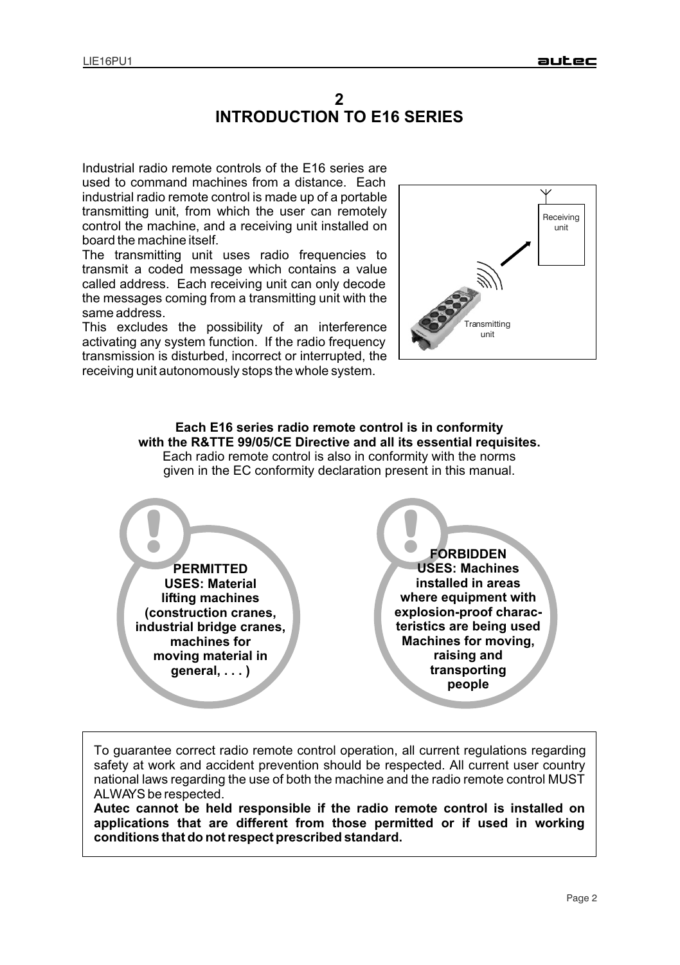## **INTRODUCTION TO E16 SERIES 2**

Industrial radio remote controls of the E16 series are used to command machines from a distance. Each industrial radio remote control is made up of a portable transmitting unit, from which the user can remotely control the machine, and a receiving unit installed on board the machine itself.

The transmitting unit uses radio frequencies to transmit a coded message which contains a value called address. Each receiving unit can only decode the messages coming from a transmitting unit with the same address.

This excludes the possibility of an interference activating any system function. If the radio frequency transmission is disturbed, incorrect or interrupted, the receiving unit autonomously stops the whole system.



**Each E16 series radio remote control is in conformity with the R&TTE 99/05/CE Directive and all its essential requisites.**  Each radio remote control is also in conformity with the norms given in the EC conformity declaration present in this manual.

!) **PERMITTED USES: Material lifting machines (construction cranes, industrial bridge cranes, machines for moving material in general, . . . )**

! **FORBIDDEN USES: Machines installed in areas where equipment with explosion-proof characteristics are being used Machines for moving, raising and transporting people**

To guarantee correct radio remote control operation, all current regulations regarding safety at work and accident prevention should be respected. All current user country national laws regarding the use of both the machine and the radio remote control MUST ALWAYS be respected.

**Autec cannot be held responsible if the radio remote control is installed on applications that are different from those permitted or if used in working conditions that do not respect prescribed standard.**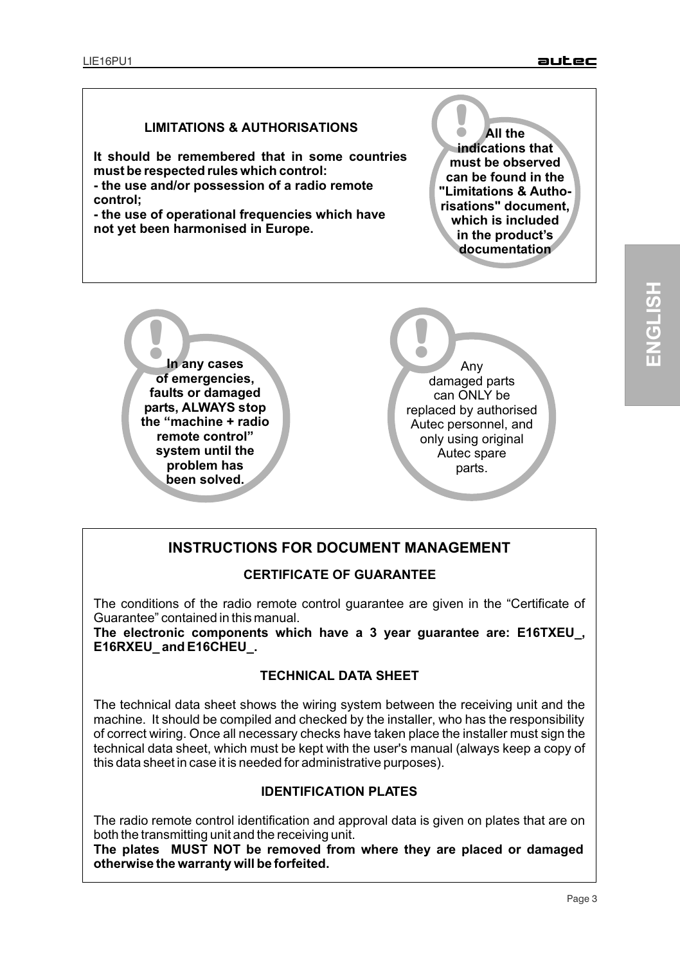## **LIMITATIONS & AUTHORISATIONS**

**It should be remembered that in some countries must be respected rules which control: - the use and/or possession of a radio remote control;**

**- the use of operational frequencies which have not yet been harmonised in Europe.**

! **All the indications that must be observed can be found in the "Limitations & Authorisations" document, which is included in the product's documentation**



**!** Any damaged parts can ONLY be replaced by authorised Autec personnel, and only using original Autec spare parts.

## **INSTRUCTIONS FOR DOCUMENT MANAGEMENT**

#### **CERTIFICATE OF GUARANTEE**

The conditions of the radio remote control guarantee are given in the "Certificate of Guarantee" contained in this manual.

**The electronic components which have a 3 year guarantee are: E16TXEU\_, E16RXEU\_ and E16CHEU\_.**

## **TECHNICAL DATA SHEET**

The technical data sheet shows the wiring system between the receiving unit and the machine. It should be compiled and checked by the installer, who has the responsibility of correct wiring. Once all necessary checks have taken place the installer must sign the technical data sheet, which must be kept with the user's manual (always keep a copy of this data sheet in case it is needed for administrative purposes).

## **IDENTIFICATION PLATES**

The radio remote control identification and approval data is given on plates that are on both the transmitting unit and the receiving unit.

**The plates MUST NOT be removed from where they are placed or damaged otherwise the warranty will be forfeited.**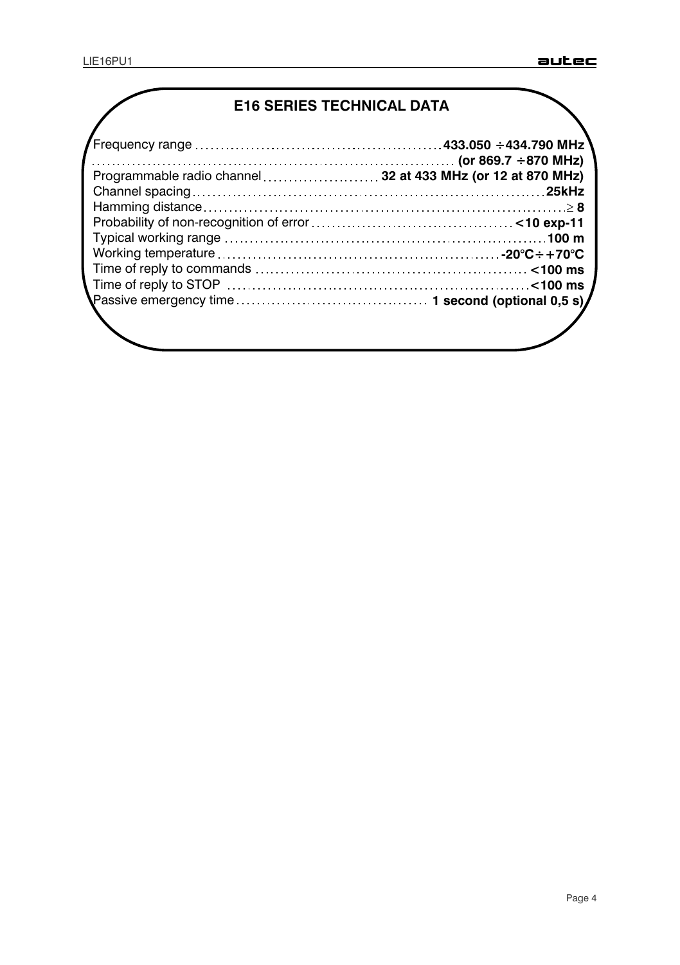# **E16 SERIES TECHNICAL DATA**

| /<br>Frequency range …………………………………………433.050 ÷434.790 MHz    |  |  |
|--------------------------------------------------------------|--|--|
|                                                              |  |  |
| Programmable radio channel  32 at 433 MHz (or 12 at 870 MHz) |  |  |
|                                                              |  |  |
|                                                              |  |  |
|                                                              |  |  |
|                                                              |  |  |
|                                                              |  |  |
|                                                              |  |  |
|                                                              |  |  |
|                                                              |  |  |
|                                                              |  |  |
|                                                              |  |  |
|                                                              |  |  |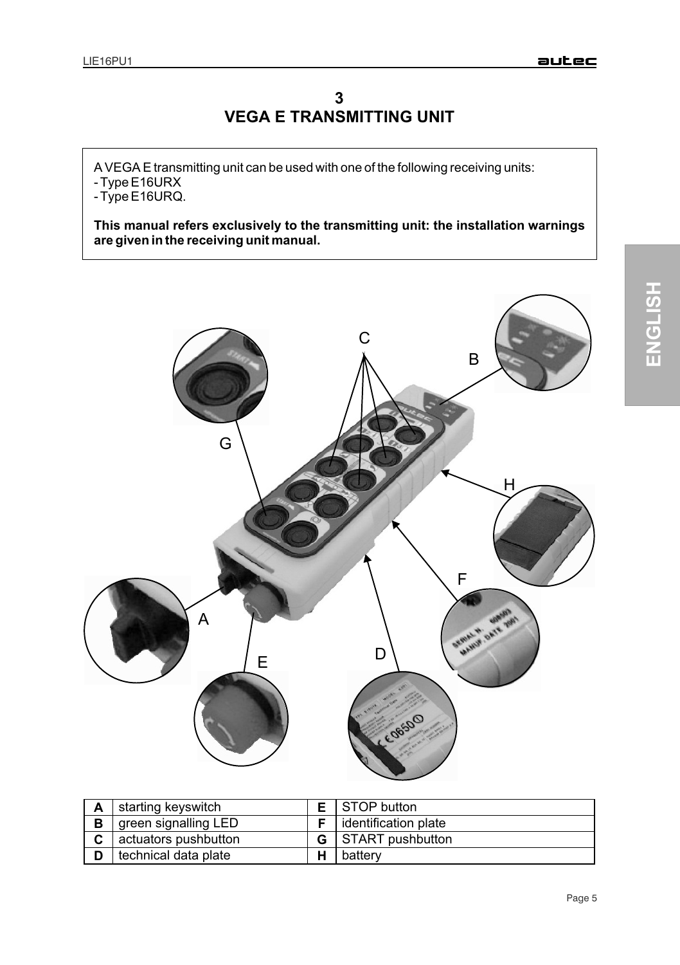# **VEGA E TRANSMITTING UNIT 3**

A VEGA E transmitting unit can be used with one of the following receiving units: - Type E16URX

- Type E16URQ.

**This manual refers exclusively to the transmitting unit: the installation warnings are given in the receiving unit manual.**



| А | starting keyswitch   | <b>E</b> STOP button           |
|---|----------------------|--------------------------------|
| B | green signalling LED | <b>F</b> lidentification plate |
| C | actuators pushbutton | <b>G</b> START pushbutton      |
|   | technical data plate | battery                        |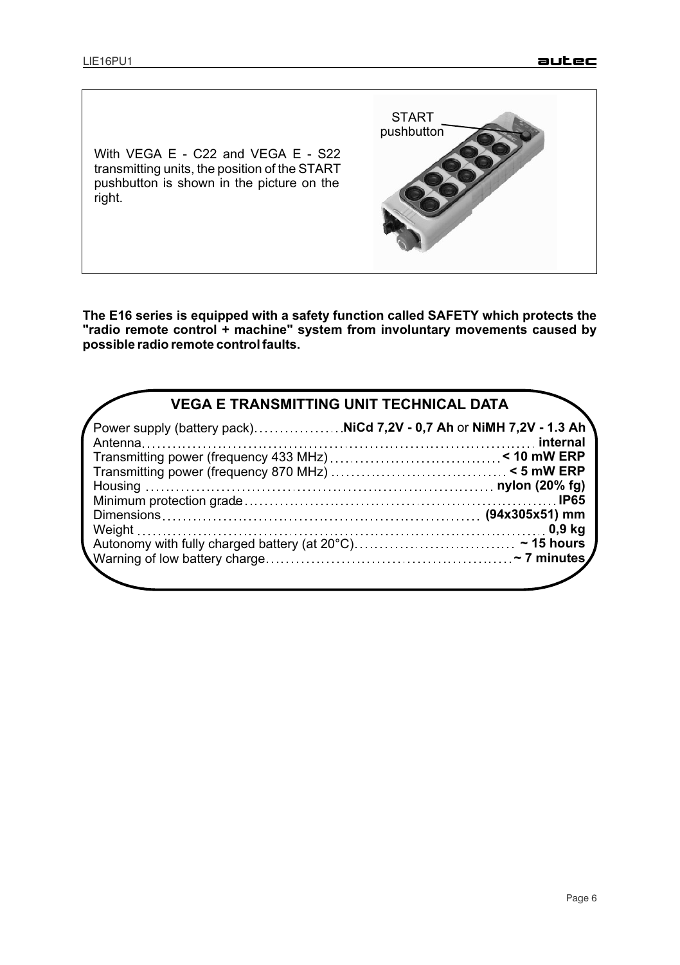With VEGA E - C22 and VEGA E - S22 transmitting units, the position of the START pushbutton is shown in the picture on the right. pushbutton

**The E16 series is equipped with a safety function called SAFETY which protects the "radio remote control + machine" system from involuntary movements caused by possible radio remote control faults.**

START

| Power supply (battery pack)NiCd 7,2V - 0,7 Ah or NiMH 7,2V - 1.3 Ah | <b>VEGA E TRANSMITTING UNIT TECHNICAL DATA</b> |
|---------------------------------------------------------------------|------------------------------------------------|
|                                                                     |                                                |
|                                                                     |                                                |
|                                                                     |                                                |
|                                                                     |                                                |
|                                                                     |                                                |
|                                                                     |                                                |
|                                                                     |                                                |
|                                                                     |                                                |
|                                                                     |                                                |
|                                                                     |                                                |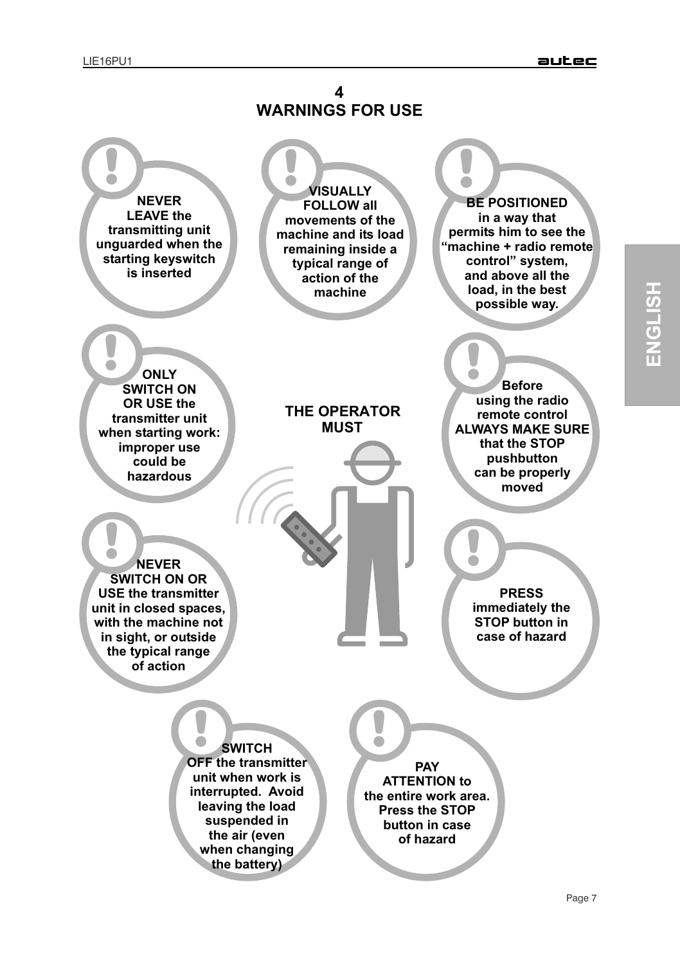

**ENGLIS H**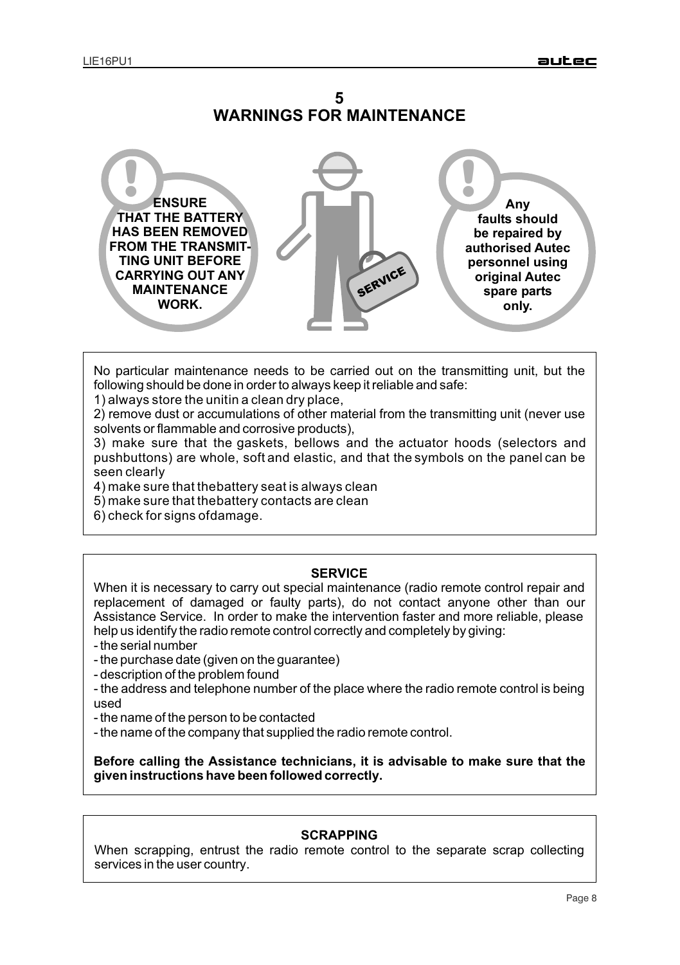



No particular maintenance needs to be carried out on the transmitting unit, but the following should be done in order to always keep it reliable and safe:

1) always store the unitin a clean dry place,

2) remove dust or accumulations of other material from the transmitting unit (never use solvents or flammable and corrosive products),

3) make sure that the gaskets, bellows and the actuator hoods (selectors and pushbuttons) are whole, soft and elastic, and that the symbols on the panel can be seen clearly

4) make sure that the battery seat is always clean

5) make sure that the battery contacts are clean

6) check for signs of damage.

#### **SERVICE**

When it is necessary to carry out special maintenance (radio remote control repair and replacement of damaged or faulty parts), do not contact anyone other than our Assistance Service. In order to make the intervention faster and more reliable, please help us identify the radio remote control correctly and completely by giving:

- the serial number
- the purchase date (given on the guarantee)
- description of the problem found
- the address and telephone number of the place where the radio remote control is being used
- the name of the person to be contacted
- the name of the company that supplied the radio remote control.

**Before calling the Assistance technicians, it is advisable to make sure that the given instructions have been followed correctly.**

## **SCRAPPING**

When scrapping, entrust the radio remote control to the separate scrap collecting services in the user country.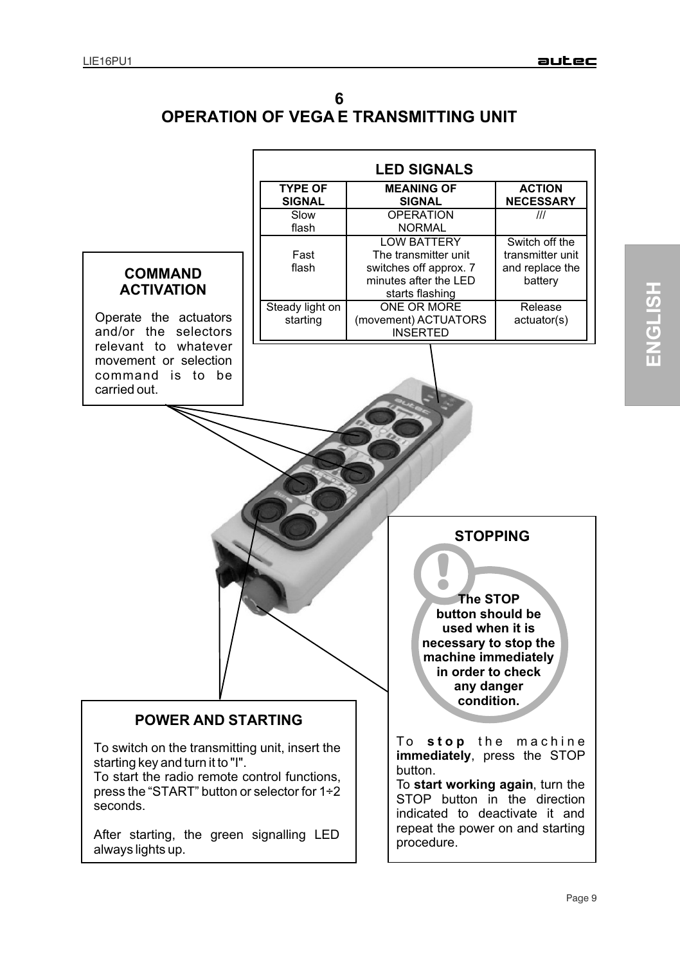| <b>OPERATION OF VEGAE TRANSMITTING UNIT</b> |
|---------------------------------------------|

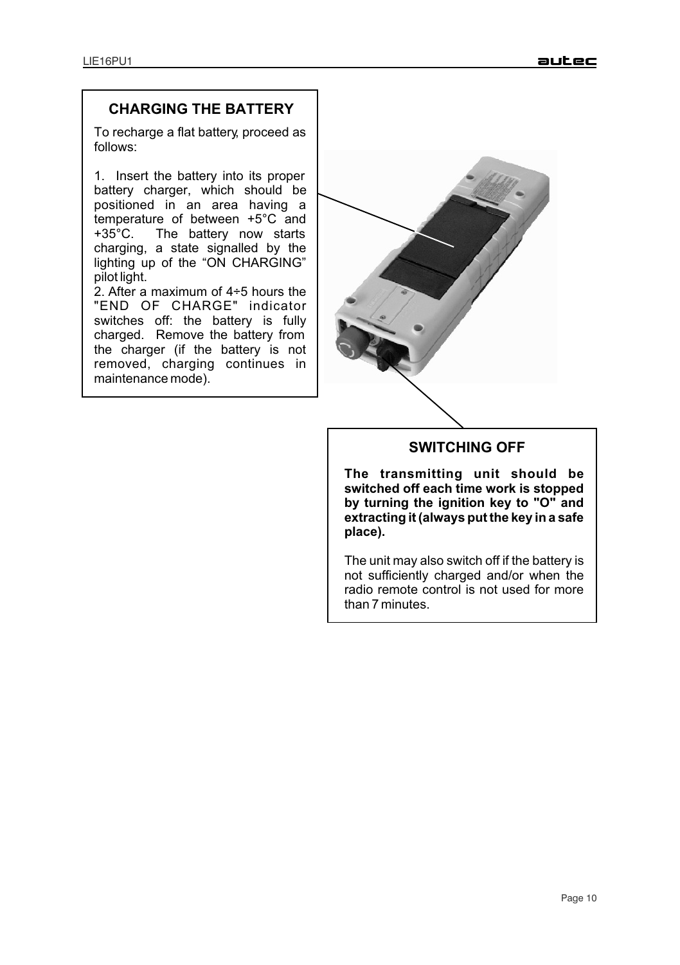# **CHARGING THE BATTERY**

To recharge a flat battery, proceed as follows:

1. Insert the battery into its proper battery charger, which should be positioned in an area having a temperature of between  $+5^{\circ}$ C and  $+35^{\circ}$ C. The battery now starts The battery now starts charging, a state signalled by the lighting up of the "ON CHARGING" pilot light.

2. After a maximum of 4÷5 hours the "END OF CHARGE" indicator switches off: the battery is fully charged. Remove the battery from the charger (if the battery is not removed, charging continues in maintenance mode).



## **SWITCHING OFF**

**The transmitting unit should be switched off each time work is stopped by turning the ignition key to "O" and extracting it (always put the key in a safe place).**

The unit may also switch off if the battery is not sufficiently charged and/or when the radio remote control is not used for more than 7 minutes.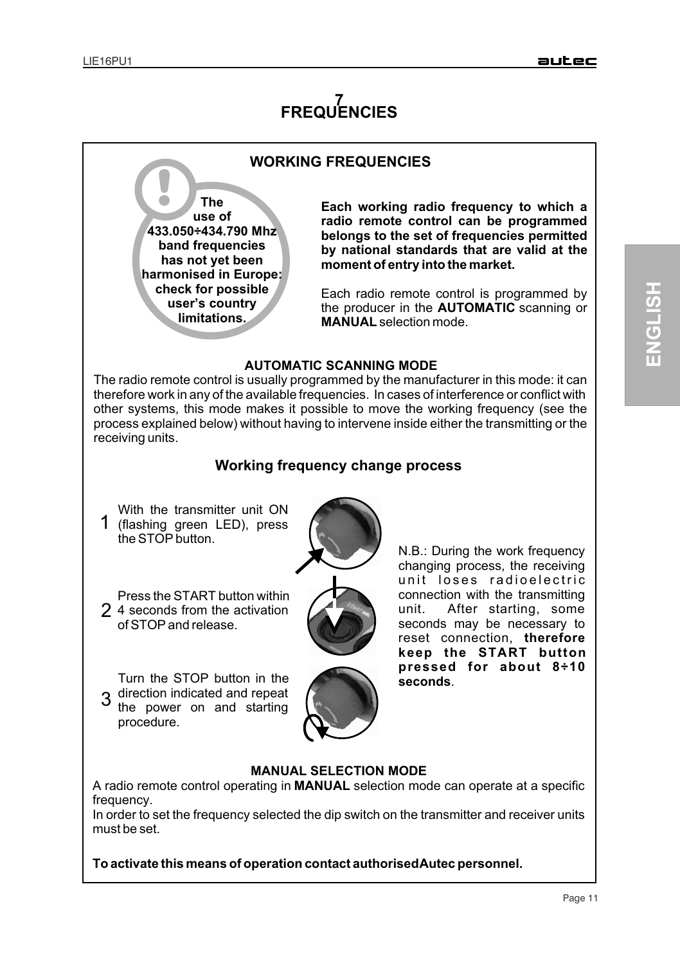# **7 FREQUENCIES**



**To activate this means of operation contact authorised Autec personnel.**

**H**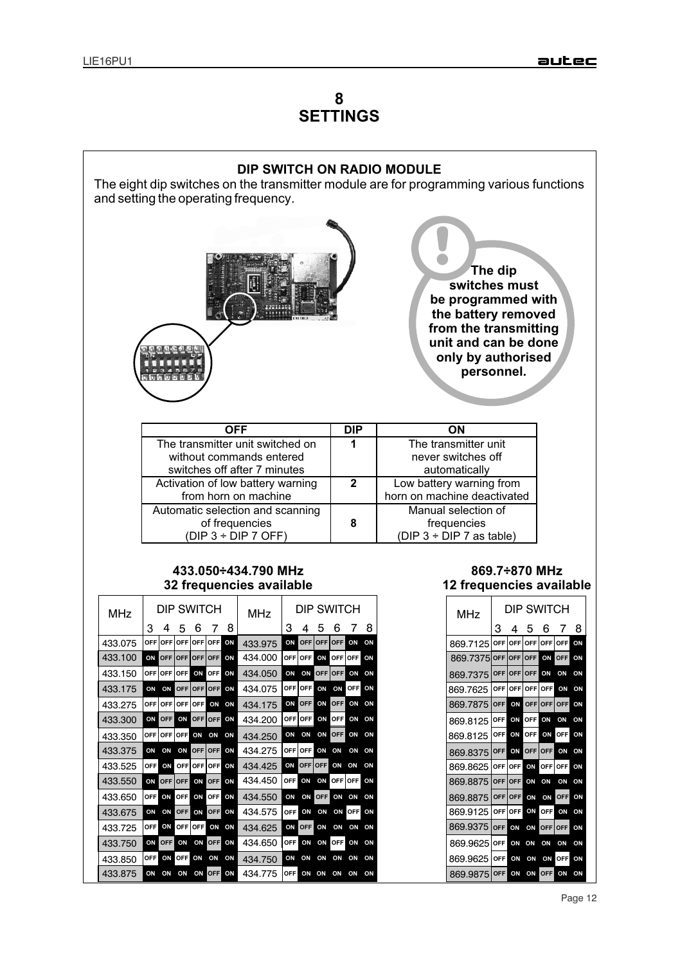# **8 SETTINGS**



Page 12